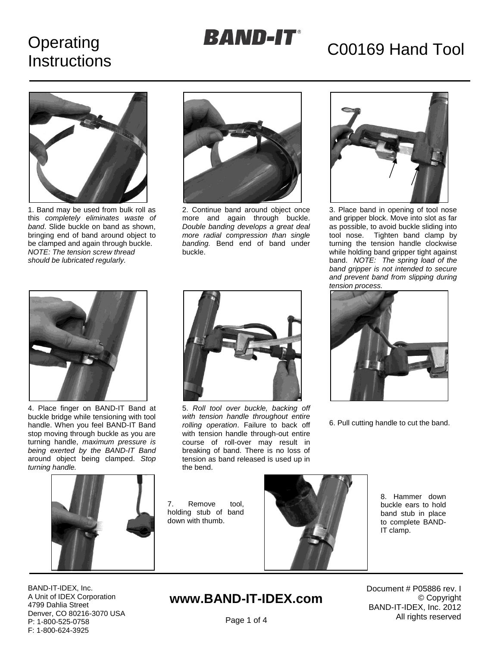# Operating **Instructions**

# **BAND-IT**<sup>®</sup> C00169 Hand Tool



1. Band may be used from bulk roll as this *completely eliminates waste of band*. Slide buckle on band as shown, bringing end of band around object to be clamped and again through buckle. *NOTE: The tension screw thread should be lubricated regularly.*



2. Continue band around object once more and again through buckle. *Double banding develops a great deal more radial compression than single banding.* Bend end of band under buckle.



3. Place band in opening of tool nose and gripper block. Move into slot as far as possible, to avoid buckle sliding into tool nose. Tighten band clamp by turning the tension handle clockwise while holding band gripper tight against band. *NOTE: The spring load of the band gripper is not intended to secure and prevent band from slipping during tension process.*



4. Place finger on BAND-IT Band at buckle bridge while tensioning with tool handle. When you feel BAND-IT Band stop moving through buckle as you are turning handle, *maximum pressure is being exerted by the BAND-IT Band* around object being clamped. *Stop turning handle.*



5. *Roll tool over buckle, backing off with tension handle throughout entire rolling operation*. Failure to back off with tension handle through-out entire course of roll-over may result in breaking of band. There is no loss of tension as band released is used up in the bend.



6. Pull cutting handle to cut the band.



7. Remove tool, holding stub of band down with thumb.



8. Hammer down buckle ears to hold band stub in place to complete BAND-IT clamp.

BAND-IT-IDEX, Inc. A Unit of IDEX Corporation 4799 Dahlia Street Denver, CO 80216-3070 USA P: 1-800-525-0758 F: 1-800-624-3925

# **www.BAND-IT-IDEX.com**

Document # P05886 rev. I © Copyright BAND-IT-IDEX, Inc. 2012 All rights reserved

Page 1 of 4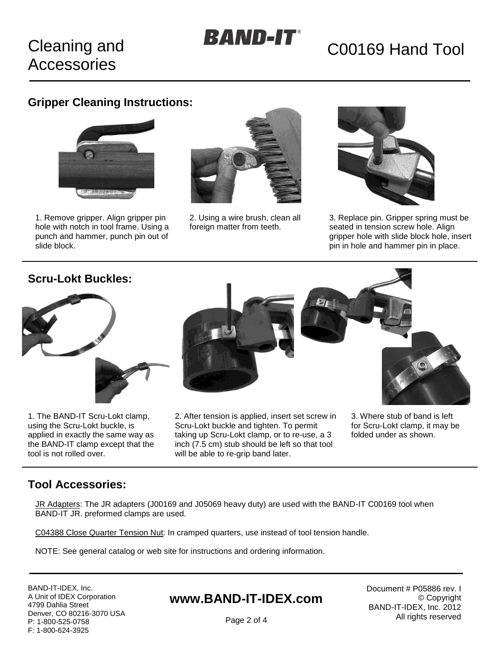# **Cleaning and Accessories**

# **BAND-IT**<sup>®</sup> C00169 Hand Tool

### **Gripper Cleaning Instructions:**



1. Remove gripper. Align gripper pin hole with notch in tool frame. Using a punch and hammer, punch pin out of slide block.



2. Using a wire brush, clean all foreign matter from teeth.



3. Replace pin. Gripper spring must be seated in tension screw hole. Align gripper hole with slide block hole, insert pin in hole and hammer pin in place.

#### **Scru-Lokt Buckles:**



1. The BAND-IT Scru-Lokt clamp, using the Scru-Lokt buckle, is applied in exactly the same way as the BAND-IT clamp except that the tool is not rolled over.



2. After tension is applied, insert set screw in Scru-Lokt buckle and tighten. To permit taking up Scru-Lokt clamp, or to re-use, a 3 inch (7.5 cm) stub should be left so that tool will be able to re-grip band later.



for Scru-Lokt clamp, it may be folded under as shown.

#### **Tool Accessories:**

JR Adapters: The JR adapters (J00169 and J05069 heavy duty) are used with the BAND-IT C00169 tool when BAND-IT JR. preformed clamps are used.

C04388 Close Quarter Tension Nut: In cramped quarters, use instead of tool tension handle.

NOTE: See general catalog or web site for instructions and ordering information.

BAND-IT-IDEX, Inc. A Unit of IDEX Corporation 4799 Dahlia Street Denver, CO 80216-3070 USA P: 1-800-525-0758 F: 1-800-624-3925

### **www.BAND-IT-IDEX.com**

Document # P05886 rev. I © Copyright BAND-IT-IDEX, Inc. 2012 All rights reserved

Page 2 of 4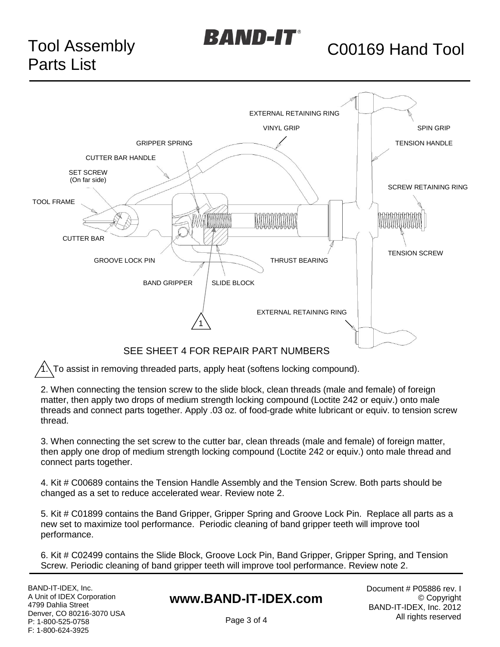

# $\bm{B}$ AND-IT $\bm{\Gamma}$  C00169 Hand Tool



#### SEE SHEET 4 FOR REPAIR PART NUMBERS

1. To assist in removing threaded parts, apply heat (softens locking compound).

2. When connecting the tension screw to the slide block, clean threads (male and female) of foreign matter, then apply two drops of medium strength locking compound (Loctite 242 or equiv.) onto male threads and connect parts together. Apply .03 oz. of food-grade white lubricant or equiv. to tension screw thread.

3. When connecting the set screw to the cutter bar, clean threads (male and female) of foreign matter, then apply one drop of medium strength locking compound (Loctite 242 or equiv.) onto male thread and connect parts together.

4. Kit # C00689 contains the Tension Handle Assembly and the Tension Screw. Both parts should be changed as a set to reduce accelerated wear. Review note 2.

5. Kit # C01899 contains the Band Gripper, Gripper Spring and Groove Lock Pin. Replace all parts as a new set to maximize tool performance. Periodic cleaning of band gripper teeth will improve tool performance.

6. Kit # C02499 contains the Slide Block, Groove Lock Pin, Band Gripper, Gripper Spring, and Tension Screw. Periodic cleaning of band gripper teeth will improve tool performance. Review note 2.

BAND-IT-IDEX, Inc. A Unit of IDEX Corporation 4799 Dahlia Street Denver, CO 80216-3070 USA P: 1-800-525-0758 F: 1-800-624-3925

### **www.BAND-IT-IDEX.com**

Document # P05886 rev. I © Copyright BAND-IT-IDEX, Inc. 2012 All rights reserved

Page 3 of 4